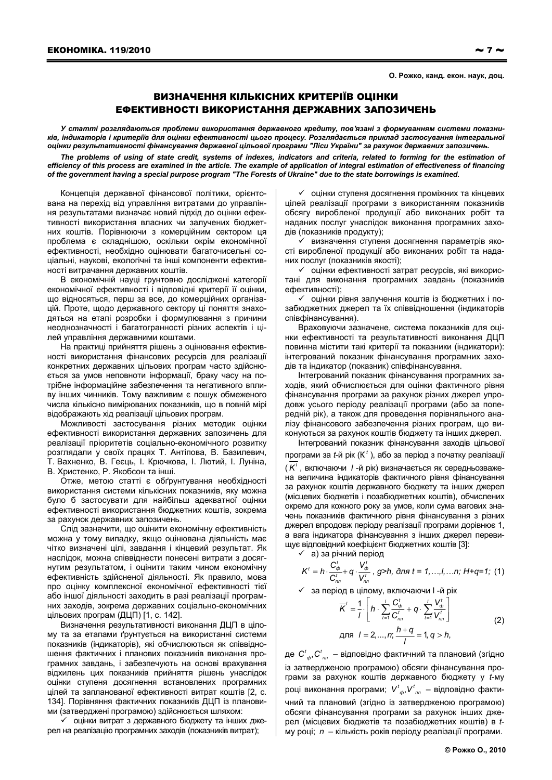О. Рожко, канд. екон. наук. доц.

## ВИЗНАЧЕННЯ КІЛЬКІСНИХ КРИТЕРІЇВ ОЦІНКИ ЕФЕКТИВНОСТІ ВИКОРИСТАННЯ ДЕРЖАВНИХ ЗАПОЗИЧЕНЬ

У статті розглядаються проблеми використання державного кредиту, пов'язані з формуванням системи показників, індикаторів і критеріїв для оцінки ефективності цього процесу. Розглядається приклад застосування інтегральної оцінки результативності фінансування державної цільової програми "Ліси України" за рахунок державних запозичень.

The problems of using of state credit, systems of indexes, indicators and criteria, related to forming for the estimation of efficiency of this process are examined in the article. The example of application of integral estimation of effectiveness of financing of the government having a special purpose program "The Forests of Ukraine" due to the state borrowings is examined.

Концепція державної фінансової політики, орієнтована на перехід від управління витратами до управління результатами визначає новий підхід до оцінки ефективності використання власних чи залучених бюджетних коштів. Порівнюючи з комерційним сектором ця проблема є складнішою, оскільки окрім економічної ефективності, необхідно оцінювати багаточисельні соціальні, наукові, екологічні та інші компоненти ефективності витрачання державних коштів.

В економічній науці грунтовно досліджені категорії економічної ефективності і відповідні критерії її оцінки, що відносяться, перш за все, до комерційних організацій. Проте, щодо державного сектору ці поняття знаходяться на етапі розробки і формулювання з причини неоднозначності і багатогранності різних аспектів і цілей управління державними коштами.

На практиці прийняття рішень з оцінювання ефективності використання фінансових ресурсів для реалізації конкретних державних цільових програм часто здійснюється за умов неповноти інформації, браку часу на потрібне інформаційне забезпечення та негативного впливу інших чинників. Тому важливим є пошук обмеженого числа кількісно вимірюваних показників, що в повній мірі відображають хід реалізації цільових програм.

Можливості застосування різних методик оцінки ефективності використання державних запозичень для реалізації пріоритетів соціально-економічного розвитку розглядали у своїх працях Т. Антіпова. В. Базилевич. Т. Вахненко, В. Геєць, І. Крючкова, І. Лютий, І. Луніна, В. Христенко, Р. Якобсон та інші.

Отже, метою статті є обґрунтування необхідності використання системи кількісних показників, яку можна було б застосувати для найбільш адекватної оцінки ефективності використання бюджетних коштів, зокрема за рахунок державних запозичень.

Слід зазначити, що оцінити економічну ефективність можна у тому випадку, якщо оцінювана діяльність має чітко визначені цілі, завдання і кінцевий результат. Як наслідок, можна співвіднести понесені витрати з досягнутим результатом, і оцінити таким чином економічну ефективність здійсненої діяльності. Як правило, мова про оцінку комплексної економічної ефективності тієї або іншої діяльності заходить в разі реалізації програмних заходів, зокрема державних соціально-економічних цільових програм (ДЦП) [1, с. 142].

Визначення результативності виконання ДЦП в цілому та за етапами грунтується на використанні системи показників (індикаторів), які обчислюються як співвідношення фактичних і планових показників виконання програмних завдань, і забезпечують на основі врахування відхилень цих показників прийняття рішень унаслідок оцінки ступеня досягнення встановлених програмних цілей та запланованої ефективності витрат коштів [2, с. 134]. Порівняння фактичних показників ДЦП із плановими (затверджені програмою) здійснюється шляхом:

√ оцінки витрат з державного бюджету та інших джерел на реалізацію програмних заходів (показників витрат);

√ оцінки ступеня досягнення проміжних та кінцевих цілей реалізації програми з використанням показників обсягу виробленої продукції або виконаних робіт та наданих послуг унаслідок виконання програмних заходів (показників продукту);

√ визначення ступеня досягнення параметрів якості виробленої продукції або виконаних робіт та наданих послуг (показників якості):

√ оцінки ефективності затрат ресурсів, які використані для виконання програмних завдань (показників ефективності):

√ оцінки рівня залучення коштів із бюджетних і позабюджетних джерел та їх співвідношення (індикаторів співфінансування).

Враховуючи зазначене, система показників для оцінки ефективності та результативності виконання ДЦП повинна містити такі критерії та показники (індикатори): інтегрований показник фінансування програмних заходів та індикатор (показник) співфінансування.

Інтегрований показник фінансування програмних заходів, який обчислюється для оцінки фактичного рівня фінансування програми за рахунок різних джерел упродовж усього періоду реалізації програми (або за попередній рік), а також для проведення порівняльного аналізу фінансового забезпечення різних програм, що виконуються за рахунок коштів бюджету та інших джерел.

Інтегрований показник фінансування заходів цільової програми за  $t$ -й рік ( $K^t$ ), або за період з початку реалізації  $(\overline{K}^{\prime})$ , включаючи / -й рік) визначається як середньозважена величина індикаторів фактичного рівня фінансування за рахунок коштів державного бюджету та інших джерел (місцевих бюджетів і позабюджетних коштів), обчислених окремо для кожного року за умов, коли сума вагових значень показників фактичного рівня фінансування з різних джерел впродовж періоду реалізації програми дорівнює 1. а вага індикатора фінансування з інших джерел перевищує відповідний коефіцієнт бюджетних коштів [3]:

 $\checkmark$  а) за річний період

$$
K^{t} = h \cdot \frac{C_{\phi}^{t}}{C_{nn}^{t}} + q \cdot \frac{V_{\phi}^{t}}{V_{nn}^{t}}, g > h, \text{ } \partial \pi \neq t = 1,...,l,...n; \text{ } H + q = 1; \text{ } (1)
$$

√ за період в цілому, включаючи І-й рік

$$
\overline{K}' = \frac{1}{I} \cdot \left[ h \cdot \sum_{t=1}^{I} \frac{C_{\phi}^{t}}{C_{nn}^{t}} + q \cdot \sum_{t=1}^{I} \frac{V_{\phi}^{t}}{V_{nn}^{t}} \right]
$$
\n
$$
\text{A} \text{D} \text{S} \quad I = 2, ..., n; \frac{h+q}{I} = 1, q > h,
$$
\n(2)

де  $C^t_{\alpha}$ ,  $C^t_{\alpha}$  – відповідно фактичний та плановий (згідно із затвердженою програмою) обсяги фінансування програми за рахунок коштів державного бюджету у t-му році виконання програми;  $V^t_{\omega}$ ,  $V^t_{nn}$  – відповідно фактичний та плановий (згідно із затвердженою програмою) обсяги фінансування програми за рахунок інших джерел (місцевих бюджетів та позабюджетних коштів) в tму році;  $n -$ кількість років періоду реалізації програми.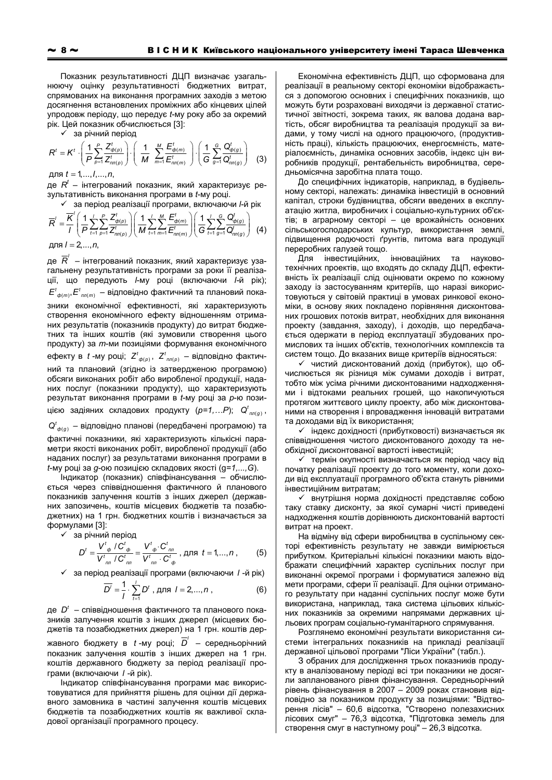Показник результативності ДЦП визначає узагальнюючу оцінку результативності бюджетних витрат, спрямованих на виконання програмних заходів з метою досягнення встановлених проміжних або кінцевих цілей упродовж періоду, що передує t-му року або за окремий рік. Цей показник обчислюється [3]:

√ за річний період

$$
R^{t} = K^{t} \cdot \left(\frac{1}{P} \sum_{p=1}^{P} \frac{Z_{\phi(p)}^{t}}{Z_{nn(p)}^{t}}\right) \cdot \left(\frac{1}{M} \sum_{m=1}^{M} \frac{E_{\phi(m)}^{t}}{E_{nn(m)}^{t}}\right) \cdot \left(\frac{1}{G} \sum_{g=1}^{G} \frac{Q_{\phi(g)}^{t}}{Q_{nn(g)}^{t}}\right)
$$
(3)

для  $t = 1, ..., l, ..., n$ 

де  $R^{t}$  – інтегрований показник, який характеризує результативність виконання програми в t-му році.

√ за період реалізації програми, включаючи І-й рік

$$
\overline{R}' = \frac{\overline{K}'}{I} \left( \frac{1}{P} \sum_{t=1}^{I} \sum_{p=1}^{P} \frac{Z_{\phi(p)}^t}{Z_{tn(p)}^t} \right) \left( \frac{1}{M} \sum_{t=1}^{I} \sum_{m=1}^{M} \frac{E_{\phi(m)}^t}{E_{tn(m)}^t} \right) \left( \frac{1}{G} \sum_{t=1}^{I} \sum_{g=1}^{G} \frac{Q_{\phi(g)}^t}{Q_{tn(g)}^t} \right) \tag{4}
$$

для  $l = 2, ..., n$ ,

де  $\overline{R}'$  – інтегрований показник, який характеризує узагальнену результативність програми за роки її реалізації, що передують І-му році (включаючи І-й рік);  $E^t_{\phi(m)}, E^t_{\eta n(m)}$  – відповідно фактичний та плановий показники економічної ефективності, які характеризують створення економічного ефекту відношенням отриманих результатів (показників продукту) до витрат бюджетних та інших коштів (які зумовили створення цього продукту) за т-ми позиціями формування економічного ефекту в *t* -му році; Z<sup>t</sup><sub>ф(p)</sub>, Z<sup>t</sup><sub>пл(p)</sub> – відповідно фактичний та плановий (згідно із затвердженою програмою) обсяги виконаних робіт або виробленої продукції, наданих послуг (показники продукту), що характеризують результат виконання програми в *t*-му році за р-ю позицією задіяних складових продукту  $(p=1,...P)$ ;  $Q^t_{nn(g)}$ ,

 $Q^t_{\phi(q)}$  – відповідно планові (передбачені програмою) та фактичні показники, які характеризують кількісні параметри якості виконаних робіт, виробленої продукції (або наданих послуг) за результатами виконання програми в  $t$ -му році за д-ою позицією складових якості (д=1,..., G).

Індикатор (показник) співфінансування - обчислюється через співвідношення фактичного й планового показників залучення коштів з інших джерел (державних запозичень, коштів місцевих бюджетів та позабюджетних) на 1 грн. бюджетних коштів і визначається за формулами [3]:

√ за річний період

$$
D^{t} = \frac{V^{t}{}_{\phi} / C^{t}{}_{\phi}}{V^{t}{}_{nn} / C^{t}{}_{nn}} = \frac{V^{t}{}_{\phi} \cdot C^{t}{}_{nn}}{V^{t}{}_{nn} \cdot C^{t}{}_{\phi}},
$$
 \nAII3  $t = 1,...,n$ , (5)

 $\checkmark$  за період реалізації програми (включаючи / -й рік)

$$
\overline{D'} = \frac{1}{I} \cdot \sum_{t=1}^{I} D^t , \text{ } \text{ } \text{ } \text{ } \text{ } \text{ } I = 2, ..., n , \tag{6}
$$

де  $D^t$  – співвідношення фактичного та планового показників залучення коштів з інших джерел (місцевих бюджетів та позабюджетних джерел) на 1 грн. коштів державного бюджету в  $t$ -му році;  $\overline{D}'$  – середньорічний показник залучення коштів з інших джерел на 1 грн. коштів державного бюджету за період реалізації програми (включаючи / -й рік).

Індикатор співфінансування програми має використовуватися для прийняття рішень для оцінки дії державного замовника в частині залучення коштів місцевих бюджетів та позабюджетних коштів як важливої складової організації програмного процесу.

Економічна ефективність ДЦП, що сформована для реалізації в реальному секторі економіки відображається з допомогою основних і специфічних показників, що можуть бути розраховані виходячи із державної статистичної звітності, зокрема таких, як валова додана вартість, обсяг виробництва та реалізація продукції за видами, у тому числі на одного працюючого, (продуктивність праці), кількість працюючих, енергоємність, матеріалоємність, динаміка основних засобів, індекс цін виробників продукції, рентабельність виробництва, середньомісячна заробітна плата тощо.

До специфічних індикаторів, наприклад, в будівельному секторі, належать: динаміка інвестицій в основний капітал. строки будівництва, обсяги введених в експлуатацію житла, виробничих і соціально-культурних об'єктів; в аграрному секторі - це врожайність основних сільськогосподарських культур, використання землі, підвищення родючості ґрунтів, питома вага продукції переробних галузей тощо.

інноваційних та науково-Для інвестиційних, технічних проектів, що входять до складу ДЦП, ефективність їх реалізації слід оцінювати окремо по кожному заходу із застосуванням критеріїв, що наразі використовуються у світовій практиці в умовах ринкової економіки, в основу яких покладено порівняння дисконтованих грошових потоків витрат, необхідних для виконання проекту (завдання, заходу), і доходів, що передбачається одержати в період експлуатації збудованих промислових та інших об'єктів, технологічних комплексів та систем тощо. До вказаних вище критеріїв відносяться:

√ чистий дисконтований дохід (прибуток), що обчислюється як різниця між сумами доходів і витрат, тобто між усіма річними дисконтованими надходженнями і відтоками реальних грошей, що накопичуються протягом життєвого циклу проекту, або між дисконтованими на створення і впровадження інновацій витратами та доходами від їх використання;

√ індекс дохідності (прибутковості) визначається як співвідношення чистого дисконтованого доходу та необхідної дисконтованої вартості інвестицій:

√ термін окупності визначається як період часу від початку реалізації проекту до того моменту, коли доходи від експлуатації програмного об'єкта стануть рівними інвестиційним витратам;

• внутрішня норма дохідності представляє собою таку ставку дисконту, за якої сумарні чисті приведені надходження коштів дорівнюють дисконтованій вартості витрат на проект.

На відміну від сфери виробництва в суспільному секторі ефективність результату не завжди вимірюється прибутком. Критеріальні кількісні показники мають відображати специфічний характер суспільних послуг при виконанні окремої програми і формуватися залежно від мети програми, сфери її реалізації. Для оцінки отриманого результату при наданні суспільних послуг може бути використана, наприклад, така система цільових кількісних показників за окремими напрямами державних цільових програм соціально-гуманітарного спрямування.

Розглянемо економічні результати використання системи інтегральних показників на прикладі реалізації державної цільової програми "Ліси України" (табл.).

3 обраних для дослідження трьох показників продукту в аналізованому періоді всі три показники не досягли запланованого рівня фінансування. Середньорічний рівень фінансування в 2007 - 2009 роках становив відповідно за показником продукту за позиціями: "Відтворення лісів" - 60,6 відсотка, "Створено полезахисних лісових смуг" - 76,3 відсотка, "Підготовка земель для створення смуг в наступному році" - 26,3 відсотка.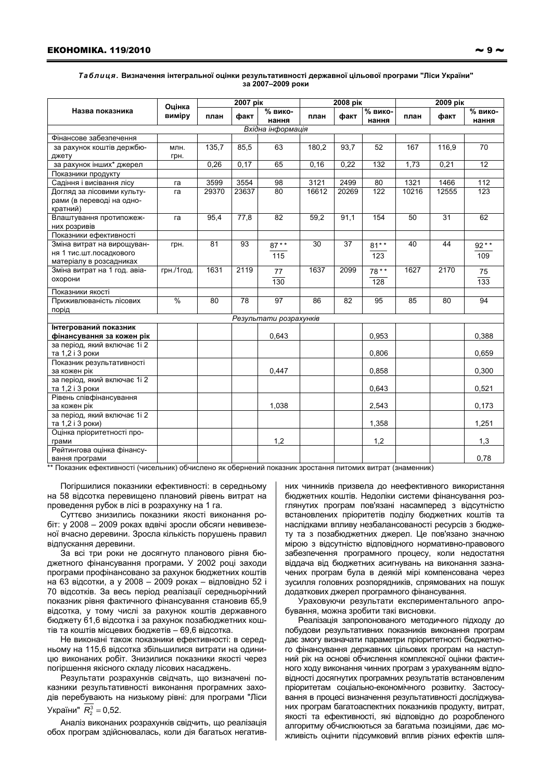## Таблиця. Визначення інтегральної оцінки результативності державної цільової програми "Ліси України" за 2007-2009 роки

| Назва показника                                                                  | Оцінка<br>виміру | 2007 pik |       |                  | 2008 pik |       |                  | 2009 рік        |                 |                  |
|----------------------------------------------------------------------------------|------------------|----------|-------|------------------|----------|-------|------------------|-----------------|-----------------|------------------|
|                                                                                  |                  | план     | факт  | % вико-<br>нання | план     | факт  | % вико-<br>нання | план            | факт            | % вико-<br>нання |
| Вхідна інформація                                                                |                  |          |       |                  |          |       |                  |                 |                 |                  |
| Фінансове забезпечення                                                           |                  |          |       |                  |          |       |                  |                 |                 |                  |
| за рахунок коштів держбю-                                                        | млн.             | 135,7    | 85,5  | 63               | 180.2    | 93.7  | 52               | 167             | 116.9           | $\overline{70}$  |
| джету                                                                            | грн.             |          |       |                  |          |       |                  |                 |                 |                  |
| за рахунок інших* джерел                                                         |                  | 0,26     | 0,17  | 65               | 0, 16    | 0,22  | 132              | 1,73            | 0,21            | 12               |
| Показники продукту                                                               |                  |          |       |                  |          |       |                  |                 |                 |                  |
| Садіння і висівання лісу                                                         | га               | 3599     | 3554  | 98               | 3121     | 2499  | 80               | 1321            | 1466            | 112              |
| Догляд за лісовими культу-<br>рами (в переводі на одно-<br>кратний)              | га               | 29370    | 23637 | $\overline{80}$  | 16612    | 20269 | $\overline{122}$ | 10216           | 12555           | $\overline{123}$ |
| Влаштування протипожеж-<br>них розривів                                          | га               | 95,4     | 77,8  | $\overline{82}$  | 59,2     | 91.1  | 154              | $\overline{50}$ | $\overline{31}$ | 62               |
| Показники ефективності                                                           |                  |          |       |                  |          |       |                  |                 |                 |                  |
| Зміна витрат на вирощуван-<br>ня 1 тис.шт.посадкового<br>матеріалу в розсадниках | грн.             | 81       | 93    | $87**$<br>115    | 30       | 37    | $81**$<br>123    | 40              | 44              | $92**$<br>109    |
| Зміна витрат на 1 год. авіа-<br>охорони                                          | грн./1год.       | 1631     | 2119  | 77<br>130        | 1637     | 2099  | $78**$<br>128    | 1627            | 2170            | 75<br>133        |
| Показники якості                                                                 |                  |          |       |                  |          |       |                  |                 |                 |                  |
| Приживлюваність лісових<br>порід                                                 | %                | 80       | 78    | 97               | 86       | 82    | 95               | 85              | 80              | 94               |
| Результати розрахунків                                                           |                  |          |       |                  |          |       |                  |                 |                 |                  |
| Інтегрований показник<br>фінансування за кожен рік                               |                  |          |       | 0,643            |          |       | 0,953            |                 |                 | 0,388            |
| за період, який включає 1i 2<br>та 1,2 і 3 роки                                  |                  |          |       |                  |          |       | 0,806            |                 |                 | 0,659            |
| Показник результативності<br>за кожен рік                                        |                  |          |       | 0.447            |          |       | 0.858            |                 |                 | 0.300            |
| за період, який включає 1i 2<br>та 1,2 і 3 роки                                  |                  |          |       |                  |          |       | 0,643            |                 |                 | 0,521            |
| Рівень співфінансування<br>за кожен рік                                          |                  |          |       | 1,038            |          |       | 2,543            |                 |                 | 0,173            |
| за період, який включає 1i 2<br>та 1,2 і 3 роки)                                 |                  |          |       |                  |          |       | 1,358            |                 |                 | 1,251            |
| Оцінка пріоритетності про-<br>грами                                              |                  |          |       | 1,2              |          |       | 1,2              |                 |                 | 1,3              |
| Рейтингова оцінка фінансу-<br>вання програми                                     |                  |          |       |                  |          |       |                  |                 |                 | 0.78             |

\*\* Показник ефективності (чисельник) обчислено як обернений показник зростання питомих витрат (знаменник)

Погіршилися показники ефективності: в середньому на 58 відсотка перевищено плановий рівень витрат на проведення рубок в лісі в розрахунку на 1 га.

Суттєво знизились показники якості виконання робіт: у 2008 - 2009 роках вдвічі зросли обсяги невивезеної вчасно деревини. Зросла кількість порушень правил відпускання деревини.

За всі три роки не досягнуто планового рівня бюджетного фінансування програми. У 2002 році заходи програми профінансовано за рахунок бюджетних коштів на 63 відсотки, а у 2008 - 2009 роках - відповідно 52 і 70 відсотків. За весь період реалізації середньорічний показник рівня фактичного фінансування становив 65,9 відсотка, у тому числі за рахунок коштів державного бюджету 61,6 відсотка і за рахунок позабюджетних коштів та коштів місцевих бюджетів - 69,6 відсотка.

Не виконані також показники ефективності: в середньому на 115,6 відсотка збільшилися витрати на одиницю виконаних робіт. Знизилися показники якості через погіршення якісного складу лісових насаджень.

Результати розрахунків свідчать, що визначені показники результативності виконання програмних заходів перебувають на низькому рівні: для програми "Ліси України"  $R_2^3 = 0,52$ .

Аналіз виконаних розрахунків свідчить, що реалізація обох програм здійснювалась, коли дія багатьох негативних чинників призвела до неефективного використання бюджетних коштів. Недоліки системи фінансування розглянутих програм пов'язані насамперед з відсутністю встановлених пріоритетів поділу бюджетних коштів та наслідками впливу незбалансованості ресурсів з бюджету та з позабюджетних джерел. Це пов'язано значною мірою з відсутністю відповідного нормативно-правового забезпечення програмного процесу, коли недостатня віддача від бюджетних асигнувань на виконання зазначених програм була в деякій мірі компенсована через зусилля головних розпорядників, спрямованих на пошук додаткових джерел програмного фінансування.

Ураховуючи результати експериментального апробування, можна зробити такі висновки.

Реалізація запропонованого методичного підходу до побудови результативних показників виконання програм дає змогу визначати параметри пріоритетності бюджетного фінансування державних цільових програм на наступний рік на основі обчислення комплексної оцінки фактичного ходу виконання чинних програм з урахуванням відповідності досягнутих програмних результатів встановленим пріоритетам соціально-економічного розвитку. Застосування в процесі визначення результативності досліджуваних програм багатоаспектних показників продукту, витрат, якості та ефективності, які відповідно до розробленого алгоритму обчислюються за багатьма позиціями, дає можливість оцінити підсумковий вплив різних ефектів шля